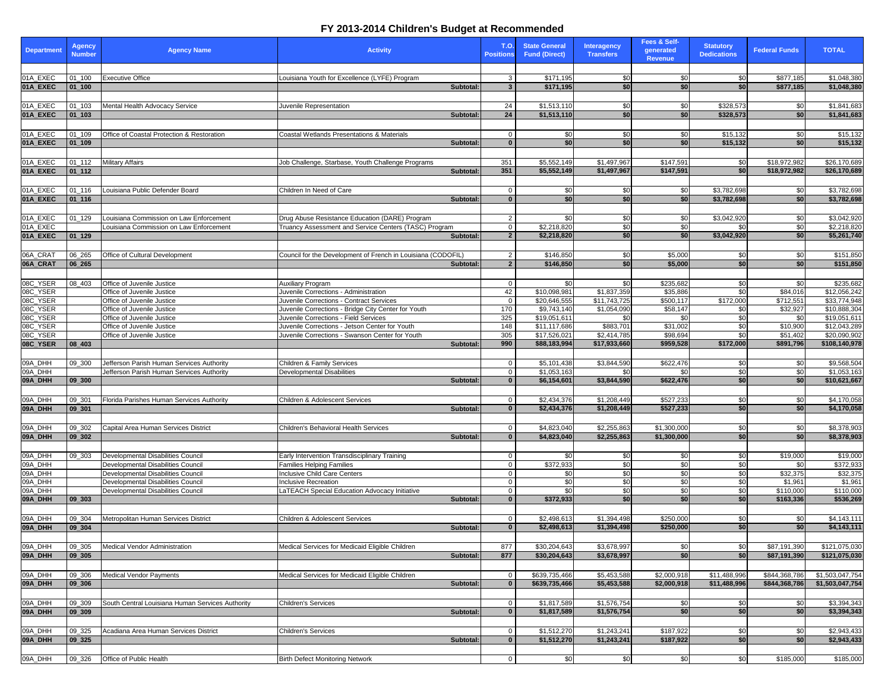| <b>Department</b>    | <b>Agency</b><br><b>Number</b>     | <b>Agency Name</b>                                                       | <b>Activity</b>                                                                                 | <b>T.O.</b><br><b>Positions</b> | <b>State General</b><br><b>Fund (Direct)</b> | <b>Interagency</b><br><b>Transfers</b> | Fees & Self-<br>generated<br><b>Revenue</b> | <b>Statutory</b><br><b>Dedications</b> | <b>Federal Funds</b>           | <b>TOTAL</b>                       |
|----------------------|------------------------------------|--------------------------------------------------------------------------|-------------------------------------------------------------------------------------------------|---------------------------------|----------------------------------------------|----------------------------------------|---------------------------------------------|----------------------------------------|--------------------------------|------------------------------------|
|                      |                                    |                                                                          |                                                                                                 |                                 |                                              |                                        |                                             |                                        |                                |                                    |
| 01A_EXEC             | $01_100$                           | <b>Executive Office</b>                                                  | Louisiana Youth for Excellence (LYFE) Program                                                   | 3                               | \$171,195                                    | \$0                                    | \$0                                         | \$0                                    | \$877,185                      | \$1,048,380                        |
| 01A_EXEC             | $ 01_100 $                         |                                                                          | Subtotal:                                                                                       | $\mathbf{3}$                    | \$171,195                                    | \$0                                    | \$0                                         | \$0                                    | \$877,185                      | \$1,048,380                        |
|                      |                                    |                                                                          |                                                                                                 |                                 |                                              |                                        |                                             |                                        |                                |                                    |
| 01A_EXEC<br>01A_EXEC | $ 01_103$<br>$ 01$ <sub>-103</sub> | Mental Health Advocacy Service                                           | Juvenile Representation<br>Subtotal:                                                            | 24<br>24                        | \$1,513,110<br>\$1,513,110                   | \$0<br>\$0                             | <b>\$01</b><br>\$0                          | \$328,573<br>\$328,573                 | \$0<br>\$0 <sub>1</sub>        | \$1,841,683<br>\$1,841,683         |
|                      |                                    |                                                                          |                                                                                                 |                                 |                                              |                                        |                                             |                                        |                                |                                    |
| 01A_EXEC             | $ 01_109$                          | Office of Coastal Protection & Restoration                               | Coastal Wetlands Presentations & Materials                                                      | $\Omega$                        | \$0                                          | \$0                                    | \$0                                         | \$15,132                               | \$0                            | \$15,132                           |
| 01A_EXEC             | $ 01$ 109                          |                                                                          | Subtotal:                                                                                       | $\Omega$                        | \$0                                          | \$0                                    | \$0 <sub>l</sub>                            | \$15,132                               | \$0 <sub>1</sub>               | \$15,132                           |
|                      |                                    |                                                                          |                                                                                                 |                                 |                                              |                                        |                                             |                                        |                                |                                    |
| 01A_EXEC             | 01_112                             | <b>Military Affairs</b>                                                  | Job Challenge, Starbase, Youth Challenge Programs                                               | 351                             | \$5,552,149                                  | \$1,497,967                            | \$147,591                                   | \$0                                    | \$18,972,982                   | \$26,170,689                       |
| 01A_EXEC             | $ 01_112 $                         |                                                                          | Subtotal:                                                                                       | 351                             | \$5,552,149                                  | \$1,497,967                            | \$147,591                                   | \$0                                    | \$18,972,982                   | \$26,170,689                       |
|                      |                                    |                                                                          |                                                                                                 |                                 |                                              |                                        |                                             |                                        |                                |                                    |
| 01A_EXEC             | $01 - 116$                         | Louisiana Public Defender Board                                          | Children In Need of Care                                                                        | $\mathbf{0}$                    | \$0                                          | -\$0                                   | <b>SO</b>                                   | \$3,782,698                            | \$0                            | \$3,782,698                        |
| 01A_EXEC             | $ 01_116 $                         |                                                                          | Subtotal:                                                                                       | $\mathbf{0}$                    | \$0                                          | \$0                                    | \$0 <sub>l</sub>                            | \$3,782,698                            | \$0 <sub>1</sub>               | \$3,782,698                        |
| 01A_EXEC             |                                    | Louisiana Commission on Law Enforcement                                  | Drug Abuse Resistance Education (DARE) Program                                                  | 2                               | \$0                                          | \$0                                    | \$0 <sub>1</sub>                            | \$3,042,920                            | \$0                            | \$3,042,920                        |
| 01A_EXEC             | $01 - 129$                         | Louisiana Commission on Law Enforcement                                  | Truancy Assessment and Service Centers (TASC) Program                                           | $\Omega$                        | \$2,218,820                                  | \$0                                    | \$0                                         | \$0                                    | \$0                            | \$2,218,820                        |
| 01A_EXEC             | $ 01_129 $                         |                                                                          | Subtotal:                                                                                       | $\overline{2}$                  | \$2,218,820                                  | \$0                                    | \$0                                         | \$3,042,920                            | \$0 <sub>1</sub>               | \$5,261,740                        |
|                      |                                    |                                                                          |                                                                                                 |                                 |                                              |                                        |                                             |                                        |                                |                                    |
| 06A_CRAT             | 06_265                             | Office of Cultural Development                                           | Council for the Development of French in Louisiana (CODOFIL)                                    | $\overline{2}$                  | \$146,850                                    | \$0                                    | \$5,000                                     | \$0                                    | \$0                            | \$151,850                          |
| 06A_CRAT             | $  06 \t265$                       |                                                                          | Subtotal:                                                                                       | $\overline{2}$                  | \$146,850                                    | \$0                                    | \$5,000                                     | \$0                                    | \$0                            | \$151,850                          |
|                      |                                    |                                                                          |                                                                                                 |                                 |                                              |                                        |                                             |                                        |                                |                                    |
| 08C_YSER             | 08_403                             | Office of Juvenile Justice                                               | <b>Auxiliary Program</b>                                                                        | $\Omega$                        | \$0                                          | \$0                                    | \$235,682                                   | \$0                                    | \$0                            | \$235,682                          |
| 08C_YSER             |                                    | Office of Juvenile Justice                                               | Juvenile Corrections - Administration                                                           | 42                              | \$10,098,981                                 | \$1,837,359                            | \$35,886                                    | \$0                                    | \$84,016                       | \$12,056,242                       |
| 08C_YSER<br>08C_YSER |                                    | Office of Juvenile Justice<br>Office of Juvenile Justice                 | Juvenile Corrections - Contract Services<br>Juvenile Corrections - Bridge City Center for Youth | $\Omega$<br>170                 | \$20,646,555<br>\$9,743,140                  | \$11,743,725<br>\$1,054,090            | \$500,117<br>\$58,147                       | \$172,000<br>\$0                       | \$712,551<br>\$32,927          | \$33,774,948<br>\$10,888,304       |
| 08C_YSER             |                                    | Office of Juvenile Justice                                               | Juvenile Corrections - Field Services                                                           | 325                             | \$19,051,611                                 | -\$0                                   | \$0                                         | \$0                                    | \$0                            | \$19,051,611                       |
| 08C_YSER             |                                    | Office of Juvenile Justice                                               | Juvenile Corrections - Jetson Center for Youth                                                  | 148                             | \$11,117,686                                 | \$883,701                              | \$31,002                                    | \$0                                    | \$10,900                       | \$12,043,289                       |
| 08C_YSER             |                                    | Office of Juvenile Justice                                               | Juvenile Corrections - Swanson Center for Youth                                                 | 305                             | \$17,526,021                                 | \$2,414,785                            | \$98,694                                    | \$0                                    | \$51,402                       | \$20,090,902                       |
| 08C_YSER             | $  08_403  $                       |                                                                          | Subtotal:                                                                                       | 990                             | \$88,183,994                                 | \$17,933,660                           | \$959,528                                   | \$172,000                              | \$891,796                      | \$108,140,978                      |
|                      |                                    |                                                                          |                                                                                                 |                                 |                                              |                                        |                                             |                                        |                                |                                    |
| 09A_DHH              | $09 - 300$                         | Jefferson Parish Human Services Authority                                | Children & Family Services                                                                      | $\mathbf 0$                     | \$5,101,438                                  | \$3,844,590                            | \$622,476                                   | \$0                                    | \$0                            | \$9,568,504                        |
| 09A_DHH<br>09A_DHH   | 09 300                             | Jefferson Parish Human Services Authority                                | Developmental Disabilities                                                                      | $\Omega$<br>$\Omega$            | \$1,053,163<br>\$6,154,601                   | \$0<br>\$3,844,590                     | \$0 <sub>1</sub><br>\$622,476               | \$0<br>\$0                             | \$0<br>\$0 <sub>1</sub>        | \$1,053,163                        |
|                      |                                    |                                                                          | Subtotal:                                                                                       |                                 |                                              |                                        |                                             |                                        |                                | \$10,621,667                       |
| 09A_DHH              | 09_301                             | Florida Parishes Human Services Authority                                | Children & Adolescent Services                                                                  |                                 | \$2,434,376                                  | \$1,208,449                            | \$527,233                                   | \$0                                    | \$0                            | \$4,170,058                        |
| 09A_DHH              | $ 09$ _301                         |                                                                          | Subtotal:                                                                                       | $\bf{0}$                        | \$2,434,376                                  | \$1,208,449                            | \$527,233                                   | \$0                                    | \$0                            | \$4,170,058                        |
|                      |                                    |                                                                          |                                                                                                 |                                 |                                              |                                        |                                             |                                        |                                |                                    |
| 09A_DHH              | 09_302                             | Capital Area Human Services District                                     | Children's Behavioral Health Services                                                           | 0                               | \$4,823,040                                  | \$2,255,863                            | \$1,300,000                                 | \$0                                    | \$0                            | \$8,378,903                        |
| 09A_DHH              | $ 09_302$                          |                                                                          | Subtotal:                                                                                       | $\Omega$                        | \$4,823,040                                  | \$2,255,863                            | \$1,300,000                                 | \$0                                    | \$0 <sub>1</sub>               | \$8,378,903                        |
|                      |                                    |                                                                          |                                                                                                 |                                 |                                              |                                        |                                             |                                        |                                |                                    |
| 09A_DHH              | 09_303                             | Developmental Disabilities Council                                       | Early Intervention Transdisciplinary Training                                                   | 0                               | \$0                                          | -\$0                                   | \$0                                         | \$0                                    | \$19,000                       | \$19,000                           |
| 09A_DHH              |                                    | Developmental Disabilities Council                                       | <b>Families Helping Families</b>                                                                | $\Omega$                        | \$372,933                                    | -\$0                                   | \$0                                         | \$0                                    | \$0                            | \$372,933                          |
| 09A_DHH<br>09A_DHH   |                                    | Developmental Disabilities Council<br>Developmental Disabilities Council | <b>Inclusive Child Care Centers</b><br><b>Inclusive Recreation</b>                              |                                 | \$0<br>\$0                                   | \$0<br>\$0                             | \$0<br>\$0                                  | \$0<br>\$0                             | \$32,375<br>\$1,961            | \$32,375<br>\$1,961                |
| 09A_DHH              |                                    | Developmental Disabilities Council                                       | LaTEACH Special Education Advocacy Initiative                                                   | $\mathbf{0}$                    | $\overline{30}$                              | \$0                                    | \$0                                         | \$0                                    | \$110,000                      | \$110,000                          |
| 09A_DHH              | $  09_303$                         |                                                                          | Subtotal:                                                                                       | $\bf{0}$                        | \$372,933                                    | \$0                                    | \$0                                         | \$0                                    | \$163,336                      | \$536,269                          |
|                      |                                    |                                                                          |                                                                                                 |                                 |                                              |                                        |                                             |                                        |                                |                                    |
| 09A_DHH              | 09_304                             | Metropolitan Human Services District                                     | Children & Adolescent Services                                                                  |                                 | \$2,498,613                                  | \$1,394,498                            | \$250,000                                   | \$0                                    | \$0                            | \$4,143,111                        |
| 09A_DHH              | $ 09_304$                          |                                                                          | Subtotal:                                                                                       | $\Omega$                        | \$2,498,613                                  | \$1,394,498                            | \$250,000                                   | \$0                                    | \$0 <sub>1</sub>               | \$4,143,111                        |
|                      |                                    |                                                                          |                                                                                                 |                                 |                                              |                                        |                                             |                                        |                                |                                    |
| 09A_DHH              | 09_305                             | <b>Medical Vendor Administration</b>                                     | Medical Services for Medicaid Eligible Children                                                 | 877                             | \$30,204,643                                 | \$3,678,997                            | \$0                                         | \$0                                    | \$87,191,390                   | \$121,075,030                      |
| 09A_DHH              | $ 09_305$                          |                                                                          | Subtotal:                                                                                       | 877                             | \$30,204,643                                 | \$3,678,997                            | \$0                                         | \$0 <sub>1</sub>                       | \$87,191,390                   | \$121,075,030                      |
|                      |                                    |                                                                          |                                                                                                 |                                 |                                              |                                        |                                             |                                        |                                |                                    |
| 09A_DHH<br>09A_DHH   | 09_306<br>$ 09$ 306                | <b>Medical Vendor Payments</b>                                           | Medical Services for Medicaid Eligible Children<br>Subtotal:                                    |                                 | \$639,735,466<br>\$639,735,466               | \$5,453,588<br>\$5,453,588             | \$2,000,918<br>\$2,000,918                  | \$11,488,996<br>\$11,488,996           | \$844,368,786<br>\$844,368,786 | \$1,503,047,754<br>\$1,503,047,754 |
|                      |                                    |                                                                          |                                                                                                 |                                 |                                              |                                        |                                             |                                        |                                |                                    |
| 09A_DHH              | 09_309                             | South Central Louisiana Human Services Authority                         | Children's Services                                                                             | 0                               | \$1,817,589                                  | \$1,576,754                            | \$0                                         | \$0                                    | \$0                            | \$3,394,343                        |
| 09A_DHH              | $  09_309$                         |                                                                          | Subtotal:                                                                                       | $\mathbf{0}$                    | \$1,817,589                                  | \$1,576,754                            | \$0                                         | \$0                                    | \$0                            | \$3,394,343                        |
|                      |                                    |                                                                          |                                                                                                 |                                 |                                              |                                        |                                             |                                        |                                |                                    |
| 09A_DHH              | 09_325                             | Acadiana Area Human Services District                                    | Children's Services                                                                             | $\mathbf{0}$                    | \$1,512,270                                  | \$1,243,241                            | \$187,922                                   | \$0                                    | \$0                            | \$2,943,433                        |
| 09A_DHH              | 09 325                             |                                                                          | Subtotal:                                                                                       | $\Omega$                        | \$1,512,270                                  | \$1,243,241                            | \$187,922                                   | \$0                                    | \$0 <sub>1</sub>               | \$2,943,433                        |
|                      |                                    |                                                                          |                                                                                                 |                                 |                                              |                                        |                                             |                                        |                                |                                    |
| 09A_DHH              | $ 09_326 $                         | <b>Office of Public Health</b>                                           | <b>Birth Defect Monitoring Network</b>                                                          | $\mathbf{0}$                    | \$0                                          | \$0                                    | \$0                                         | \$0                                    | \$185,000                      | \$185,000                          |

## **FY 2013-2014 Children's Budget at Recommended**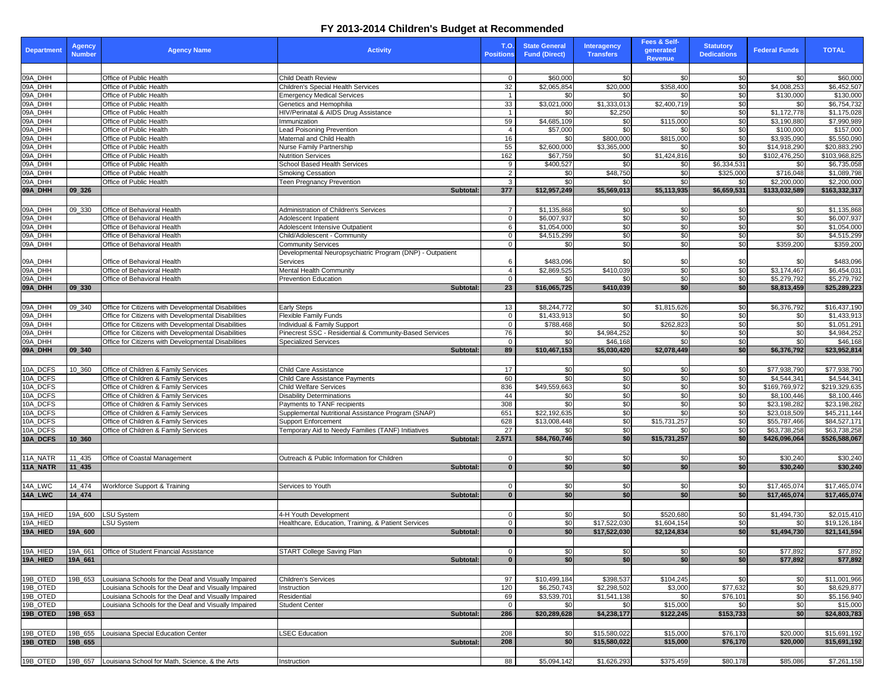## **FY 2013-2014 Children's Budget at Recommended**

| <b>Department</b>    | <b>Agency</b><br><b>Number</b> | <b>Agency Name</b>                                     | <b>Activity</b>                                                       | <b>T.O.</b><br><b>Positions</b> | <b>State General</b><br><b>Fund (Direct)</b> | <b>Interagency</b><br><b>Transfers</b> | Fees & Self-<br>generated<br><b>Revenue</b> | <b>Statutory</b><br><b>Dedications</b> | <b>Federal Funds</b>          | <b>TOTAL</b>                  |
|----------------------|--------------------------------|--------------------------------------------------------|-----------------------------------------------------------------------|---------------------------------|----------------------------------------------|----------------------------------------|---------------------------------------------|----------------------------------------|-------------------------------|-------------------------------|
|                      |                                |                                                        |                                                                       |                                 |                                              |                                        |                                             |                                        |                               |                               |
| 09A_DHH              |                                | Office of Public Health                                | Child Death Review                                                    | $\Omega$                        | \$60,000                                     | \$0                                    | <b>\$0</b>                                  | \$0                                    | \$0                           | \$60,000                      |
| 09A_DHH<br>09A_DHH   |                                | Office of Public Health<br>Office of Public Health     | <b>Children's Special Health Services</b>                             | $\overline{32}$                 | \$2,065,854                                  | \$20,000                               | \$358,400<br>\$0 <sub>1</sub>               | \$0<br>\$0                             | \$4,008,253                   | \$6,452,507                   |
| 09A_DHH              |                                | Office of Public Health                                | <b>Emergency Medical Services</b><br>Genetics and Hemophilia          | 33                              | \$0<br>\$3,021,000                           | \$0<br>\$1,333,013                     | \$2,400,719                                 | $\overline{30}$                        | \$130,000<br>\$0              | \$130,000<br>\$6,754,732      |
| 09A_DHH              |                                | Office of Public Health                                | HIV/Perinatal & AIDS Drug Assistance                                  |                                 | \$0                                          | \$2,250                                | .ፍስ                                         | \$0                                    | \$1,172,778                   | \$1,175,028                   |
| 09A_DHH              |                                | Office of Public Health                                | Immunization                                                          | 59                              | \$4,685,109                                  | \$0                                    | \$115,000                                   | \$0                                    | \$3,190,880                   | \$7,990,989                   |
| 09A_DHH              |                                | Office of Public Health                                | <b>Lead Poisoning Prevention</b>                                      | 4                               | \$57,000                                     | \$0                                    | \$0 <sub>1</sub>                            | \$0                                    | \$100,000                     | \$157,000                     |
| 09A_DHH              |                                | Office of Public Health                                | Maternal and Child Health                                             | 16                              | \$0                                          | \$800,000                              | \$815,000                                   | \$0                                    | \$3,935,090                   | \$5,550,090                   |
| 09A_DHH              |                                | Office of Public Health                                | Nurse Family Partnership                                              | 55                              | \$2,600,000                                  | \$3,365,000                            | .ፍስ                                         | \$0                                    | \$14,918,290                  | \$20,883,290                  |
| 09A_DHH<br>09A_DHH   |                                | Office of Public Health<br>Office of Public Health     | <b>Nutrition Services</b><br><b>School Based Health Services</b>      | 162                             | \$67,759<br>\$400,527                        | \$0<br>\$0                             | \$1,424,816                                 | \$0<br>\$6,334,531                     | \$102,476,250<br>\$0          | \$103,968,825<br>\$6,735,058  |
| 09A_DHH              |                                | Office of Public Health                                | <b>Smoking Cessation</b>                                              | 9<br>$\overline{2}$             | \$0                                          | \$48,750                               | \$0<br>\$0                                  | \$325,000                              | \$716,048                     | \$1,089,798                   |
| 09A_DHH              |                                | Office of Public Health                                | <b>Teen Pregnancy Prevention</b>                                      | $\mathbf{3}$                    | \$0                                          | \$0                                    | \$0                                         | \$0                                    | \$2,200,000                   | \$2,200,000                   |
| 09A_DHH              | $ 09\rangle 326$               |                                                        | Subtotal:                                                             | $\frac{377}{2}$                 | \$12,957,249                                 | \$5,569,013                            | \$5,113,935                                 | \$6,659,531                            | \$133,032,589                 | \$163,332,317                 |
|                      |                                |                                                        |                                                                       |                                 |                                              |                                        |                                             |                                        |                               |                               |
| 09A_DHH              | 09_330                         | Office of Behavioral Health                            | Administration of Children's Services                                 | $\overline{7}$                  | \$1,135,868                                  | <b>SO</b>                              | \$0                                         | \$0                                    | \$0                           | \$1,135,868                   |
| 09A_DHH              |                                | Office of Behavioral Health                            | Adolescent Inpatient                                                  | $\Omega$                        | \$6,007,937                                  | $\overline{30}$                        | \$0                                         | \$0                                    | \$0                           | \$6,007,937                   |
| 09A_DHH              |                                | Office of Behavioral Health                            | <b>Adolescent Intensive Outpatient</b>                                | 6                               | \$1,054,000                                  | $\overline{50}$                        | $\overline{50}$                             | \$0                                    | \$0                           | \$1,054,000                   |
| 09A_DHH              |                                | Office of Behavioral Health                            | Child/Adolescent - Community                                          | $\overline{0}$                  | \$4,515,299                                  | \$0                                    | \$0                                         | \$0                                    | \$0                           | \$4,515,299                   |
| 09A_DHH              |                                | Office of Behavioral Health                            | <b>Community Services</b>                                             | $\mathbf{0}$                    | \$0                                          | $\overline{30}$                        | \$0                                         | \$0                                    | \$359,200                     | \$359,200                     |
| 09A_DHH              |                                | Office of Behavioral Health                            | Developmental Neuropsychiatric Program (DNP) - Outpatient<br>Services | 6                               | \$483,096                                    | -\$0                                   | \$0                                         | \$0                                    | \$0                           | \$483,096                     |
| 09A_DHH              |                                | Office of Behavioral Health                            | <b>Mental Health Community</b>                                        | 4                               | \$2,869,525                                  | \$410,039                              | \$0                                         | \$0                                    | \$3,174,467                   | \$6,454,031                   |
| 09A_DHH              |                                | Office of Behavioral Health                            | <b>Prevention Education</b>                                           | $\overline{0}$                  | \$0                                          | \$0                                    | \$0                                         | \$0                                    | \$5,279,792                   | \$5,279,792                   |
| 09A_DHH              | $ 09\rangle 330$               |                                                        | Subtotal:                                                             | 23                              | \$16,065,725                                 | \$410,039                              | \$0                                         | \$0]                                   | \$8,813,459                   | \$25,289,223                  |
|                      |                                |                                                        |                                                                       |                                 |                                              |                                        |                                             |                                        |                               |                               |
| 09A_DHH              | 09_340                         | Office for Citizens with Developmental Disabilities    | <b>Early Steps</b>                                                    | 13                              | \$8,244,772                                  | \$0                                    | \$1,815,626                                 | \$0                                    | \$6,376,792                   | \$16,437,190                  |
| 09A_DHH              |                                | Office for Citizens with Developmental Disabilities    | <b>Flexible Family Funds</b>                                          | $\overline{0}$                  | \$1,433,913                                  | \$0                                    | \$0 <sub>1</sub>                            | \$0                                    | \$0                           | \$1,433,913                   |
| 09A_DHH              |                                | Office for Citizens with Developmental Disabilities    | Individual & Family Support                                           | $\overline{0}$                  | \$788,468                                    | \$0                                    | \$262,823                                   | \$0                                    | \$0                           | \$1,051,291                   |
| 09A_DHH              |                                | Office for Citizens with Developmental Disabilities    | Pinecrest SSC - Residential & Community-Based Services                | 76                              | \$0                                          | \$4,984,252                            | \$0                                         | \$0                                    | \$0                           | \$4,984,252                   |
| 09A_DHH<br>09A_DHH   | 09 340                         | Office for Citizens with Developmental Disabilities    | Specialized Services<br>Subtotal:                                     | $\overline{0}$<br>89            | $\overline{30}$<br>\$10,467,153              | \$46,168<br>\$5,030,420                | \$0<br>\$2,078,449                          | \$0<br>\$0                             | \$0<br>\$6,376,792            | \$46,168<br>\$23,952,814      |
|                      |                                |                                                        |                                                                       |                                 |                                              |                                        |                                             |                                        |                               |                               |
| 10A_DCFS             | 10 360                         | Office of Children & Family Services                   | <b>Child Care Assistance</b>                                          | $\overline{17}$                 | \$0                                          | $\sqrt{50}$                            | \$0                                         | \$0                                    | \$77,938,790                  | \$77,938,790                  |
| 10A_DCFS             |                                | Office of Children & Family Services                   | Child Care Assistance Payments                                        | 60                              | \$0                                          | \$0                                    | \$0                                         | \$0                                    | \$4,544,341                   | \$4,544,341                   |
| 10A_DCFS             |                                | Office of Children & Family Services                   | <b>Child Welfare Services</b>                                         | 836                             | \$49,559,663                                 | $\overline{30}$                        | \$0                                         | \$0                                    | \$169,769,972                 | $\overline{$219,329,635}$     |
| 10A_DCFS             |                                | Office of Children & Family Services                   | Disability Determinations                                             | 44                              | \$0                                          | \$0                                    | \$0                                         | \$0                                    | \$8,100,446                   | \$8,100,446                   |
| 10A_DCFS             |                                | Office of Children & Family Services                   | Payments to TANF recipients                                           | 308                             | $\overline{50}$                              | $\overline{30}$                        | \$0                                         | $\frac{6}{3}$                          | \$23,198,282                  | \$23,198,282                  |
| 10A_DCFS             |                                | Office of Children & Family Services                   | Supplemental Nutritional Assistance Program (SNAP)                    | 651                             | \$22,192,635                                 | \$0                                    | \$0 <sub>1</sub>                            | \$0                                    | \$23,018,509                  | \$45,211,144                  |
| 10A_DCFS             |                                | Office of Children & Family Services                   | <b>Support Enforcement</b>                                            | 628                             | \$13,008,448                                 | \$0                                    | \$15,731,257                                | \$0                                    | \$55,787,466                  | \$84,527,171                  |
| 10A_DCFS<br>10A_DCFS | 10 360                         | Office of Children & Family Services                   | Temporary Aid to Needy Families (TANF) Initiatives<br>Subtotal:       | 27<br>2,571                     | \$0<br>\$84,760,746                          | \$0<br>$s$ <sub>0</sub>                | \$0 <sub>1</sub><br>\$15,731,257            | \$0<br>\$0                             | \$63,738,258<br>\$426,096,064 | \$63,738,258<br>\$526,588,067 |
|                      |                                |                                                        |                                                                       |                                 |                                              |                                        |                                             |                                        |                               |                               |
| 11A_NATR             | 11_435                         | Office of Coastal Management                           | Outreach & Public Information for Children                            | $\overline{0}$                  | \$0                                          | \$0                                    | <b>\$01</b>                                 | \$0                                    | \$30,240                      | \$30,240                      |
| 11A_NATR             | $11_435$                       |                                                        | Subtotal:                                                             | $\mathbf{0}$                    | \$0                                          | \$0                                    | \$0                                         | \$0                                    | \$30,240                      | \$30,240                      |
|                      |                                |                                                        |                                                                       |                                 |                                              |                                        |                                             |                                        |                               |                               |
| 14A_LWC              | 14_474                         | Workforce Support & Training                           | Services to Youth                                                     | $\mathbf 0$                     | \$0                                          | \$0                                    | \$0                                         | \$0                                    | \$17,465,074                  | \$17,465,074                  |
| 14A_LWC              | 14 474                         |                                                        | Subtotal:                                                             | $\mathbf{0}$                    | \$0                                          | \$0                                    | \$0                                         | \$0                                    | \$17,465,074                  | \$17,465,074                  |
|                      |                                |                                                        |                                                                       |                                 |                                              |                                        |                                             |                                        |                               |                               |
| 19A_HIED             | 19A_600                        | <b>LSU System</b>                                      | 4-H Youth Development                                                 | $\overline{0}$                  | \$0                                          | \$0                                    | \$520,680                                   | \$0                                    | \$1,494,730                   | \$2,015,410                   |
| 19A_HIED             |                                | LSU System                                             | Healthcare, Education, Training, & Patient Services                   | $\overline{0}$                  | $\sqrt{6}$                                   | \$17,522,030                           | \$1,604,154                                 | \$0                                    | \$0                           | \$19,126,184                  |
| 19A_HIED             | 19A_600                        |                                                        | Subtotal:                                                             |                                 | \$0                                          | \$17,522,030                           | \$2,124,834                                 | \$0                                    | \$1,494,730                   | \$21,141,594                  |
|                      |                                |                                                        |                                                                       |                                 |                                              |                                        |                                             |                                        |                               |                               |
| 19A_HIED             | 19A_661                        | Office of Student Financial Assistance                 | START College Saving Plan                                             | $\mathbf{0}$                    | \$0                                          | \$0                                    | \$0                                         | \$0                                    | \$77,892                      | \$77,892                      |
| 19A_HIED             | 19A_661                        |                                                        | Subtotal:                                                             | $\mathbf{0}$                    | \$0                                          | \$0                                    | \$0                                         | \$0                                    | \$77,892                      | \$77,892                      |
|                      |                                |                                                        |                                                                       |                                 |                                              |                                        |                                             |                                        |                               |                               |
| 19B_OTED             | 19B_653                        | Louisiana Schools for the Deaf and Visually Impaired   | <b>Children's Services</b>                                            | 97                              | \$10,499,184                                 | \$398,537                              | \$104,245                                   | \$0                                    | \$0                           | \$11,001,966                  |
| 19B_OTED             |                                | Louisiana Schools for the Deaf and Visually Impaired   | Instruction                                                           | 120                             | \$6,250,743                                  | \$2,298,502                            | \$3,000                                     | \$77,632                               | \$0                           | \$8,629,877                   |
| 19B_OTED             |                                | Louisiana Schools for the Deaf and Visually Impaired   | Residential                                                           | 69                              | \$3,539,701                                  | \$1,541,138                            | <b>\$0</b>                                  | \$76,101                               | \$0                           | \$5,156,940                   |
| 19B_OTED<br>19B_OTED | 19B <sub>653</sub>             | Louisiana Schools for the Deaf and Visually Impaired   | <b>Student Center</b><br>Subtotal:                                    | $\overline{0}$<br>286           | \$0<br>\$20,289,628                          | \$0<br>\$4,238,177                     | \$15,000<br>\$122,245                       | \$0<br>\$153,733                       | \$0<br>\$0                    | \$15,000<br>\$24,803,783      |
|                      |                                |                                                        |                                                                       |                                 |                                              |                                        |                                             |                                        |                               |                               |
| 19B_OTED             | 19B_655                        | Louisiana Special Education Center                     | <b>LSEC Education</b>                                                 | 208                             | \$0                                          | \$15,580,022                           | \$15,000                                    | \$76,170                               | \$20,000                      | \$15,691,192                  |
| 19B_OTED             | 19B_655                        |                                                        | Subtotal:                                                             | 208                             | \$0                                          | \$15,580,022                           | \$15,000                                    | \$76,170                               | \$20,000                      | \$15,691,192                  |
|                      |                                |                                                        |                                                                       |                                 |                                              |                                        |                                             |                                        |                               |                               |
| 19B_OTED             |                                | 19B_657 Louisiana School for Math, Science, & the Arts | Instruction                                                           | 88                              | \$5,094,142                                  | \$1,626,293                            | \$375,459                                   | \$80,178                               | \$85,086                      | \$7,261,158                   |
|                      |                                |                                                        |                                                                       |                                 |                                              |                                        |                                             |                                        |                               |                               |